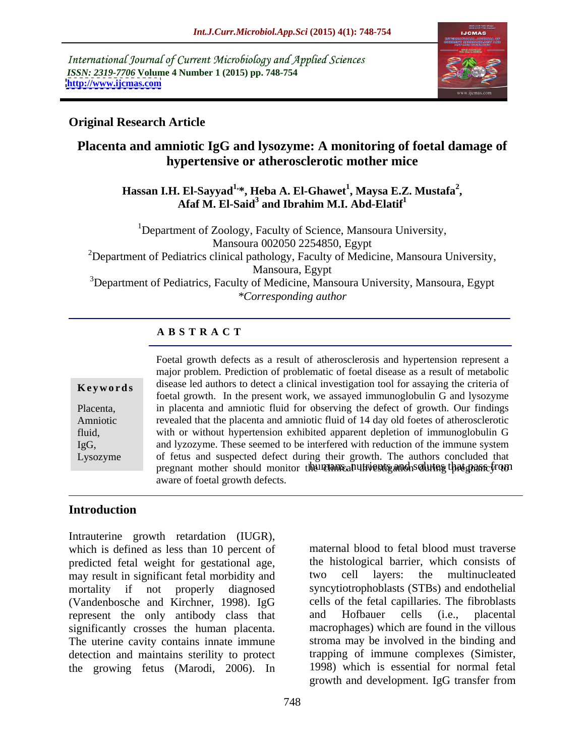International Journal of Current Microbiology and Applied Sciences *ISSN: 2319-7706* **Volume 4 Number 1 (2015) pp. 748-754 <http://www.ijcmas.com>**



## **Original Research Article**

# **Placenta and amniotic IgG and lysozyme: A monitoring of foetal damage of hypertensive or atherosclerotic mother mice**

**Hassan I.H. El-Sayyad1,\*, Heba A. El-Ghawet<sup>1</sup> , Afaf M. El-Said3 , Maysa E.Z. Mustafa<sup>2</sup>** Afaf M. El-Said<sup>3</sup> and Ibrahim M.I. Abd-Elatif<sup>1</sup>

<sup>1</sup>Department of Zoology, Faculty of Science, Mansoura University, Mansoura 002050 2254850, Egypt <sup>2</sup>Department of Pediatrics clinical pathology, Faculty of Medicine, Mansoura University, Mansoura, Egypt <sup>3</sup>Department of Pediatrics, Faculty of Medicine, Mansoura University, Mansoura, Egypt *\*Corresponding author*

## **A B S T R A C T**

IgG, Lysozyme

pregnant mother should monitor the client part in the ends of the clinical independent of the control of the c Foetal growth defects as a result of atherosclerosis and hypertension represent a major problem. Prediction of problematic of foetal disease as a resultof metabolic **Keywords** disease led authors to detect a clinical investigation tool for assaying the criteria of foetal growth. In the present work, we assayed immunoglobulin G and lysozyme Placenta, in placenta and amniotic fluid for observing the defect of growth. Our findings revealed that the placenta and amniotic fluid of 14 day old foetes of atherosclerotic Amniotic with or without hypertension exhibited apparent depletion of immunoglobulin G fluid, and lyzozyme. These seemed to be interfered with reduction of the immune system of fetus and suspected defect during their growth. The authors concluded that aware of foetal growth defects.

### **Introduction**

Intrauterine growth retardation (IUGR), which is defined as less than 10 percent of predicted fetal weight for gestational age, may result in significant fetal morbidity and two cell layers: the multinucleated mortality if not properly diagnosed syncytiotrophoblasts (STBs) and endothelial (Vandenbosche and Kirchner, 1998). IgG cells of the fetal capillaries. The fibroblasts represent the only antibody class that and Hofbauer cells (i.e., placental represent the only antibody class that significantly crosses the human placenta. The uterine cavity contains innate immune stroma may be involved in the binding and detection and maintains sterility to protect<br>trapping of immune complexes (Simister,<br>the growing fetus (Marodi, 2006). In 1998) which is essential for normal fetal

the growing fetus (Marodi, 2006). In 1998) which is essential for normal fetal growth and development. IgG transfer from maternal blood to fetal blood must traverse the histological barrier, which consists of two cell layers: the multinucleated cells of the fetal capillaries.The fibroblasts and Hofbauer cells (i.e., placental macrophages) which are found in the villous trapping of immune complexes (Simister, 1998) which is essential for normal fetal growth and development. IgG transfer from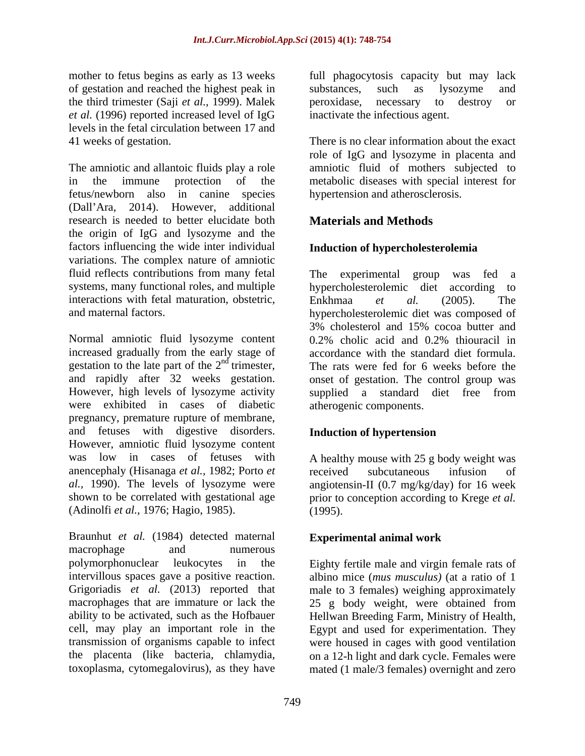of gestation and reached the highest peak in the third trimester (Saji *et al.,* 1999). Malek *et al.* (1996) reported increased level of IgG levels in the fetal circulation between 17 and

The amniotic and allantoic fluids play a role amniotic fluid of mothers subjected to in the immune protection of the metabolic diseases with special interest for fetus/newborn also in canine species hypertension and atherosclerosis. (Dall Ara, 2014). However, additional research is needed to better elucidate both the origin of IgG and lysozyme and the factors influencing the wide inter individual variations. The complex nature of amniotic fluid reflects contributions from many fetal The experimental group was fed a systems, many functional roles, and multiple hypercholesterolemic diet according to interactions with fetal maturation, obstetric, Enkhmaa et al. (2005). The

Normal amniotic fluid lysozyme content 0.2% cholic acid and 0.2% thiouracil in increased gradually from the early stage of gestation to the late part of the  $2<sup>nd</sup>$  trimester, were exhibited in cases of diabetic pregnancy, premature rupture of membrane, and fetuses with digestive disorders. Induction of hypertension However, amniotic fluid lysozyme content was low in cases of fetuses with A healthy mouse with 25 g body weight was anencephaly (Hisanaga *et al.*, 1982; Porto *et* received subcutaneous infusion of *al.*, 1990). The levels of lysozyme were angiotensin-II (0.7 mg/kg/day) for 16 week *al.,* 1990). The levels of lysozyme were angiotensin-II (0.7 mg/kg/day) for 16 week shown to be correlated with gestational age prior to conception according to Krege *et al.*

(Adinolfi *et al.,* 1976; Hagio, 1985). Braunhut *et al.* (1984) detected maternal macrophage and numerous macrophage and numerous polymorphonuclear leukocytes in the Eighty fertile male and virgin female rats of intervillous spaces gave a positive reaction. albino mice (*mus musculus)* (at a ratio of 1 Grigoriadis *et al.* (2013) reported that male to 3 females) weighing approximately macrophages that are immature or lack the 25 g body weight, were obtained from ability to be activated, such as the Hofbauer Hellwan Breeding Farm, Ministry of Health, cell, may play an important role in the Egypt and used for experimentation. They transmission of organisms capable to infect were housed in cages with good ventilation the placenta (like bacteria, chlamydia, on a 12-h light and dark cycle. Females were

mother to fetus begins as early as 13 weeks full phagocytosis capacity but may lack substances, such as lysozyme and peroxidase, necessary to destroy or inactivate the infectious agent.

41 weeks of gestation. There is no clear information about the exact role of IgG and lysozyme in placenta and

# **Materials and Methods**

## **Induction of hypercholesterolemia**

and maternal factors. hypercholesterolemic diet was composed of gestation to the late part of the  $2<sup>nd</sup>$  trimester, The rats were fed for 6 weeks before the and rapidly after 32 weeks gestation. onset of gestation. The control group was However, high levels of lysozyme activity supplied a standard diet free from experimental group was fed hypercholesterolemic diet according to Enkhmaa *et al.* (2005). The 3% cholesterol and 15% cocoa butter and 0.2% cholic acid and 0.2% thiouracil in accordance with the standard diet formula. atherogenic components.

## **Induction of hypertension**

received subcutaneous infusion of (1995).

## **Experimental animal work**

toxoplasma, cytomegalovirus), as they have mated (1 male/3 females) overnight and zero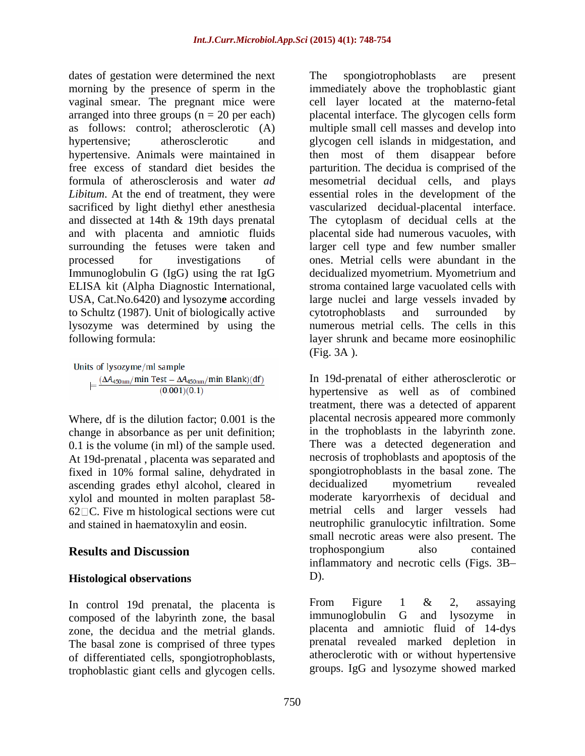dates of gestation were determined the next The spongiotrophoblasts are present morning by the presence of sperm in the vaginal smear. The pregnant mice were sacrificed by light diethyl ether anesthesia vascularized decidual-placental interface. and dissected at 14th & 19th days prenatal The cytoplasm of decidual cells at the to Schultz (1987). Unit of biologically active lysozyme was determined by using the

Where, df is the dilution factor; 0.001 is the change in absorbance as per unit definition; 0.1 is the volume (in ml) of the sample used. At 19d-prenatal , placenta was separated and fixed in 10% formal saline, dehydrated in spongiotrophoblasts in the basal zone. The ascending grades ethyl alcohol, cleared in decidualized myometrium revealed ascending grades ethyl alcohol, cleared in xylol and mounted in molten paraplast 58- 62 $\Box$ C. Five m histological sections were cut

### **Histological observations**

composed of the labyrinth zone, the basal zone, the decidua and the metrial glands. The basal zone is comprised of three types of differentiated cells, spongiotrophoblasts,

arranged into three groups (n = 20 per each) placental interface. The glycogen cells form as follows: control; atherosclerotic (A) multiple small cell masses and develop into hypertensive; atherosclerotic and glycogen cell islands in midgestation, and hypertensive. Animals were maintained in then most of them disappear before free excess of standard diet besides the parturition. The decidua is comprised of the formula of atherosclerosis and water *ad*  mesometrial decidual cells, and plays Libitum. At the end of treatment, they were essential roles in the development of the and with placenta and amniotic fluids placental side had numerous vacuoles, with surrounding the fetuses were taken and larger cell type and few number smaller processed for investigations of ones. Metrial cells were abundant in the Immunoglobulin G (IgG) using the rat IgG decidualized myometrium. Myometrium and ELISA kit (Alpha Diagnostic International, stroma contained large vacuolated cells with USA, Cat.No.6420) and lysozym**e** according large nuclei and large vessels invaded by following formula: layer shrunk and became more eosinophilic disco affection over determined by near the spongior<br>phoblastic are presented and glycogen cells by the pareneta of spent in<br>the spongin discontinue were cell by the space and glycogen cells by<br>the space of spent cells an immediately above the trophoblastic giant cell layer located at the materno-fetal vascularized decidual-placental interface.The cytoplasm of decidual cells at the cytotrophoblasts and surrounded by numerous metrial cells. The cells in this (Fig. 3A ).

and stained in haematoxylin and eosin. neutrophilic granulocytic infiltration. Some **Results and Discussion Example 3** trophospongium also contained In 19d-prenatal of either atherosclerotic or hypertensive as well as of combined treatment, there was a detected of apparent placental necrosis appeared more commonly in the trophoblasts in the labyrinth zone. There was a detected degeneration and necrosis of trophoblasts and apoptosis of the spongiotrophoblasts in the basal zone. The decidualized myometrium revealed moderate karyorrhexis of decidual and metrial cells and larger vessels had small necrotic areas were also present. The trophospongium also contained inflammatory and necrotic cells (Figs. 3B D).

In control 19d prenatal, the placenta is  $\frac{1}{2}$  From Figure 1 & 2, assaying<br>composed of the labyrinth zone the basal immunoglobulin G and lysozyme in From Figure 1 & 2, assaying immunoglobulin G and lysozyme in placenta and amniotic fluid of 14-dys prenatal revealed marked depletion in atheroclerotic with or without hypertensive groups. IgG and lysozyme showed marked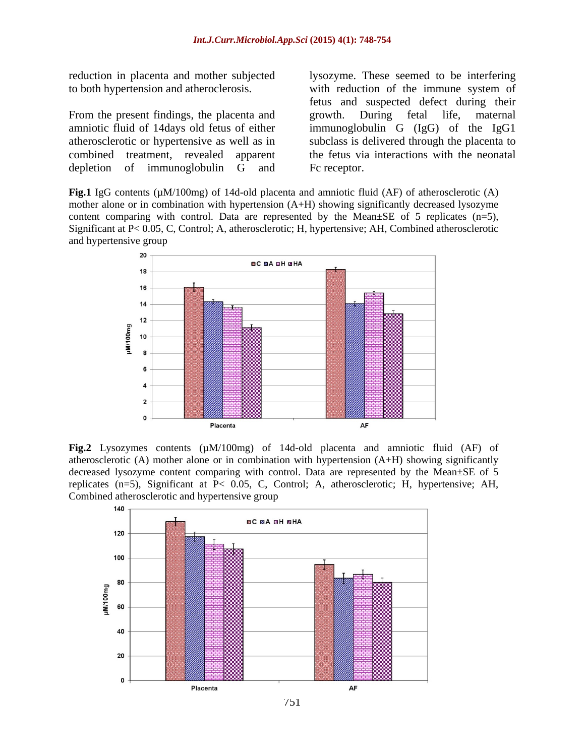reduction in placenta and mother subjected

amniotic fluid of 14days old fetus of either immunoglobulin G (IgG) of the IgG1 atherosclerotic or hypertensive as well as in combined treatment, revealed apparent the fetus via interactions with the neonatal depletion of immunoglobulin G and Fc receptor.

to both hypertension and atheroclerosis. with reduction of the immune system of From the present findings, the placenta and growth. During fetal life, maternal lysozyme. These seemed to be interfering fetus and suspected defect during their growth. During fetal life, maternal subclass is delivered through the placenta to Fc receptor.

**Fig.1** IgG contents (µM/100mg) of 14d-old placenta and amniotic fluid (AF) of atherosclerotic (A) mother alone or in combination with hypertension (A+H) showing significantly decreased lysozyme content comparing with control. Data are represented by the Mean $\pm$ SE of 5 replicates (n=5), Significant at P< 0.05, C, Control; A, atherosclerotic; H, hypertensive; AH, Combined atherosclerotic and hypertensive group



**Fig.2** Lysozymes contents (µM/100mg) of 14d-old placenta and amniotic fluid (AF) of atherosclerotic  $(A)$  mother alone or in combination with hypertension  $(A+H)$  showing significantly decreased lysozyme content comparing with control. Data are represented by the Mean±SE of 5 replicates (n=5), Significant at P< 0.05, C, Control; A, atherosclerotic; H, hypertensive; AH, Combined atherosclerotic and hypertensive group

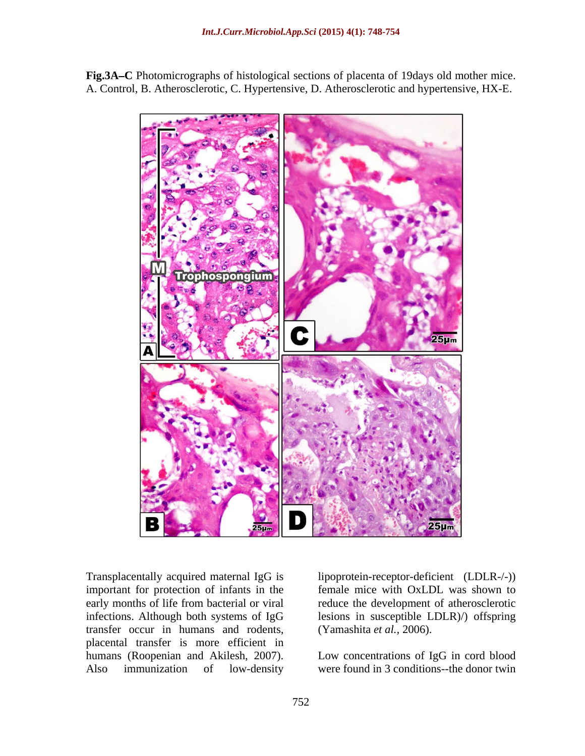

**Fig.3A C** Photomicrographs of histological sections of placenta of 19days old mother mice. A. Control, B. Atherosclerotic, C. Hypertensive, D. Atherosclerotic and hypertensive, HX-E.

important for protection of infants in the transfer occur in humans and rodents, (Yamashita et al., 2006). placental transfer is more efficient in humans (Roopenian and Akilesh, 2007). Low concentrations of IgG in cord blood

Transplacentally acquired maternal IgG is lipoprotein-receptor-deficient (LDLR-/-)) early months of life from bacterial or viral reduce the development of atherosclerotic infections. Although both systems of IgG lesions in susceptible LDLR)/) offspring female mice with OxLDL was shown to

Also immunization of low-density were found in 3 conditions--the donor twin (Yamashita *et al.,* 2006). Low concentrations of IgG in cord blood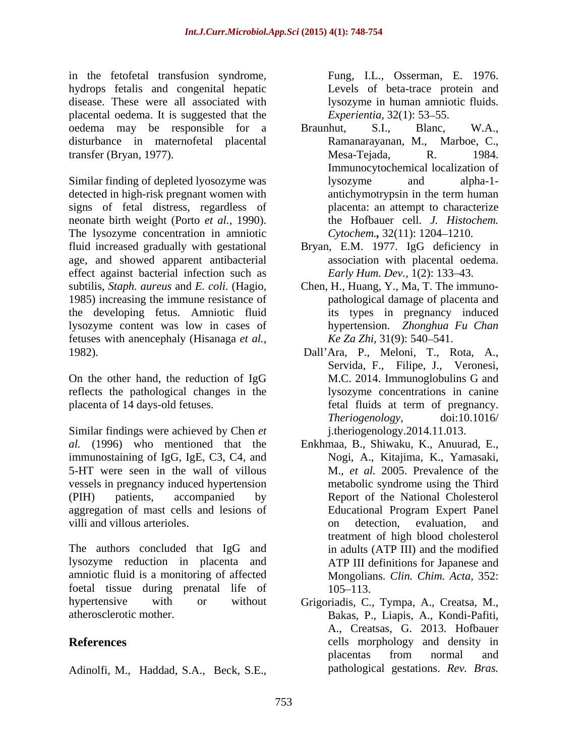in the fetofetal transfusion syndrome, Fung, I.L., Osserman, E. 1976. hydrops fetalis and congenital hepatic disease. These were all associated with lysozyme in human amniotic fluids. placental oedema. It is suggested that the *Experientia*, 32(1): 53–55. oedema may be responsible for a Braunhut, S.I., Blanc, W.A., disturbance in maternofetal placental Ramanarayanan, M., Marboe, C., transfer (Bryan, 1977).

Similar finding of depleted lyosozyme was lysozyme and alpha-1detected in high-risk pregnant women with antichymotrypsin in the term human signs of fetal distress, regardless of neonate birth weight (Porto *et al.*, 1990). <br>The lysozyme concentration in amniotic Cytochem., 32(11): 1204–1210. fluid increased gradually with gestational Bryan, E.M. 1977. IgG deficiency in age, and showed apparent antibacterial effect against bacterial infection such as subtilis, *Staph. aureus* and *E. coli.* (Hagio, Chen, H., Huang, Y., Ma, T. The immuno-<br>1985) increasing the immune resistance of pathological damage of placenta and the developing fetus. Amniotic fluid lysozyme content was low in cases of fetuses with anencephaly (Hisanaga *et al.,*

On the other hand, the reduction of IgG reflects the pathological changes in the placenta of 14 days-old fetuses. The fetal fluids at term of pregnancy.

Similar findings were achieved by Chen *et*  al. (1996) who mentioned that the Enkhmaa, B., Shiwaku, K., Anuurad, E., immunostaining of IgG, IgE, C3, C4, and Nogi, A., Kitajima, K., Yamasaki, immunostaining of IgG, IgE, C3, C4, and Nogi, A., Kitajima, K., Yamasaki, 5-HT were seen in the wall of villous vessels in pregnancy induced hypertension (PIH) patients, accompanied by Report of the National Cholesterol aggregation of mast cells and lesions of villi and villous arterioles. The same state of the set of the detection. The evaluation and villous arterioles.

The authors concluded that IgG and lysozyme reduction in placenta and amniotic fluid is a monitoring of affected foetal tissue during prenatal life of 105–113.

Adinolfi, M., Haddad, S.A., Beck, S.E.,

Levels of beta-trace protein and *Experientia,* 32(1): 53–55.

- Braunhut, S.I., Blanc, W.A., Ramanarayanan, M., Marboe, C., Mesa-Tejada, R. 1984. Immunocytochemical localization of lysozyme and alpha-1 antichymotrypsin in the term human placenta: an attempt to characterize the Hofbauer cell. *J. Histochem. Cytochem.*, 32(11): 1204–1210.
- association with placental oedema. *Early Hum. Dev.,* 1(2): 133–43.
- Chen, H., Huang, Y., Ma, T. The immuno pathological damage of placenta and its types in pregnancy induced hypertension. *Zhonghua Fu Chan Ke Za Zhi,* 31(9): 540–541.
- 1982). Dall'Ara, P., Meloni, T., Rota, A., Servida, F., Filipe, J., Veronesi, M.C. 2014. Immunoglobulins G and lysozyme concentrations in canine fetal fluids at term of pregnancy. *Theriogenology,* doi:10.1016/ j.theriogenology.2014.11.013.
	- M., *et al.* 2005. Prevalence of the metabolic syndrome using the Third Educational Program Expert Panel on detection, evaluation, and treatment of high blood cholesterol in adults (ATP III) and the modified ATP III definitions for Japanese and Mongolians. *Clin. Chim. Acta,* 352: 105–113.
- hypertensive with or without Grigoriadis, C., Tympa, A., Creatsa, M.,<br>atherosclerotic mother.<br>Bakas, P., Liapis, A., Kondi-Pafiti, atherosclerotic mother. Bakas, P., Liapis, A., Kondi-Pafiti, **References** cells morphology and density in A., Creatsas, G. 2013. Hofbauer placentas from normal and pathological gestations. *Rev. Bras.*